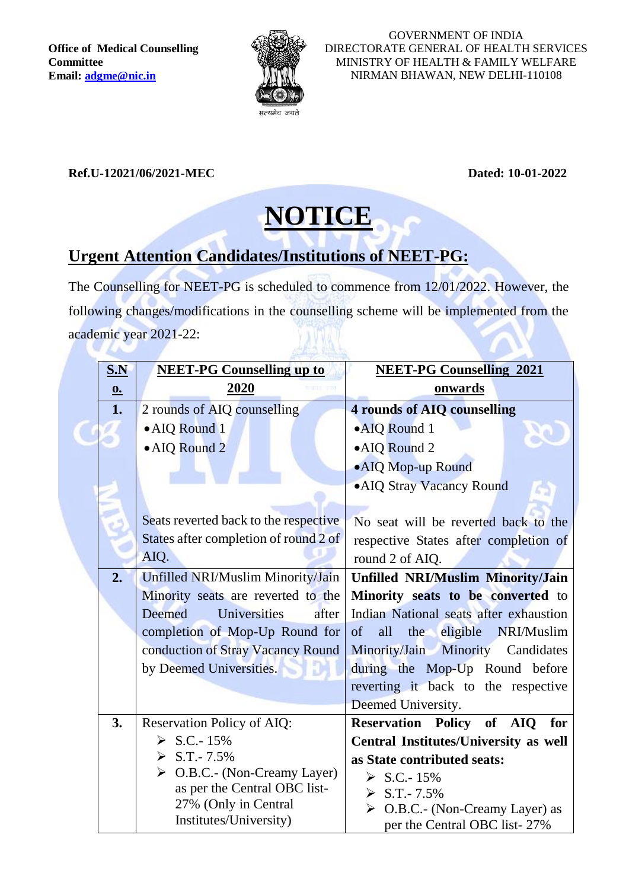**Office of Medical Counselling Committee Email: [adgme@nic.in](mailto:adgme@nic.in)**



GOVERNMENT OF INDIA DIRECTORATE GENERAL OF HEALTH SERVICES MINISTRY OF HEALTH & FAMILY WELFARE NIRMAN BHAWAN, NEW DELHI-110108

## **Ref.U-12021/06/2021-MEC Dated: 10-01-2022**

## **NOTICE**

## **Urgent Attention Candidates/Institutions of NEET-PG:**

The Counselling for NEET-PG is scheduled to commence from 12/01/2022. However, the following changes/modifications in the counselling scheme will be implemented from the academic year 2021-22:

| <u>S.N</u>                | <b>NEET-PG Counselling up to</b>                                            | <b>NEET-PG Counselling 2021</b>                                                |
|---------------------------|-----------------------------------------------------------------------------|--------------------------------------------------------------------------------|
| $\underline{\mathbf{0.}}$ | 2020                                                                        | onwards                                                                        |
| 1.                        | 2 rounds of AIQ counselling                                                 | <b>4 rounds of AIQ counselling</b>                                             |
|                           | • AIQ Round 1                                                               | •AIQ Round 1                                                                   |
|                           | • AIQ Round 2                                                               | •AIQ Round 2                                                                   |
|                           |                                                                             | • AIQ Mop-up Round                                                             |
|                           |                                                                             | • AIQ Stray Vacancy Round                                                      |
|                           |                                                                             |                                                                                |
|                           | Seats reverted back to the respective                                       | No seat will be reverted back to the                                           |
|                           | States after completion of round 2 of                                       | respective States after completion of                                          |
|                           | AIQ.                                                                        | round 2 of AIQ.                                                                |
| 2.                        | Unfilled NRI/Muslim Minority/Jain                                           | <b>Unfilled NRI/Muslim Minority/Jain</b>                                       |
|                           | Minority seats are reverted to the                                          | Minority seats to be converted to                                              |
|                           | <b>Deemed</b><br>Universities<br>after                                      | Indian National seats after exhaustion                                         |
|                           | completion of Mop-Up Round for                                              | eligible<br>$\sigma$<br>all<br>the<br>NRI/Muslim                               |
|                           | conduction of Stray Vacancy Round                                           | Minority/Jain Minority<br>Candidates                                           |
|                           | by Deemed Universities.                                                     | during the Mop-Up Round before                                                 |
|                           |                                                                             | reverting it back to the respective                                            |
|                           |                                                                             | Deemed University.                                                             |
| 3.                        | Reservation Policy of AIQ:                                                  | Reservation Policy of AIQ<br>for                                               |
|                           | $> S.C.-15%$                                                                | <b>Central Institutes/University as well</b>                                   |
|                           | $>$ S.T.-7.5%                                                               | as State contributed seats:                                                    |
|                           | $\triangleright$ O.B.C.- (Non-Creamy Layer)<br>as per the Central OBC list- | $\triangleright$ S.C.-15%                                                      |
|                           | 27% (Only in Central                                                        | $> S.T. - 7.5\%$                                                               |
|                           | Institutes/University)                                                      | $\triangleright$ O.B.C.- (Non-Creamy Layer) as<br>per the Central OBC list-27% |